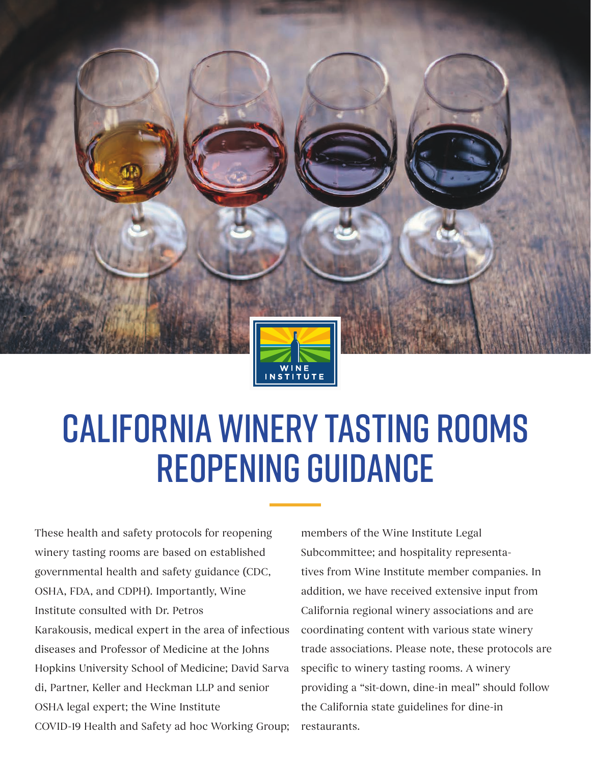

# CALIFORNIA WINERY TASTING ROOMS REOPENING GUIDANCE

These health and safety protocols for reopening winery tasting rooms are based on established governmental health and safety guidance (CDC, OSHA, FDA, and CDPH). Importantly, Wine Institute consulted with Dr. Petros Karakousis, medical expert in the area of infectious diseases and Professor of Medicine at the Johns Hopkins University School of Medicine; David Sarva di, Partner, Keller and Heckman LLP and senior OSHA legal expert; the Wine Institute COVID-19 Health and Safety ad hoc Working Group;

members of the Wine Institute Legal Subcommittee; and hospitality representatives from Wine Institute member companies. In addition, we have received extensive input from California regional winery associations and are coordinating content with various state winery trade associations. Please note, these protocols are specific to winery tasting rooms. A winery providing a "sit-down, dine-in meal" should follow the California state guidelines for dine-in restaurants.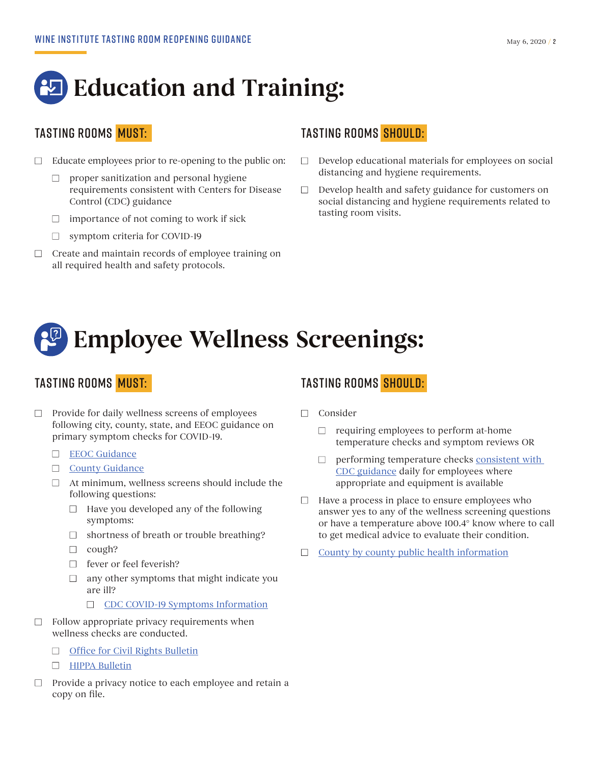## **Education and Training:**

- $\Box$  Educate employees prior to re-opening to the public on:
	- $\Box$  proper sanitization and personal hygiene requirements consistent with Centers for Disease Control (CDC) guidance
	- $\Box$  importance of not coming to work if sick
	- $\Box$  symptom criteria for COVID-19
- $\Box$  Create and maintain records of employee training on all required health and safety protocols.

### TASTING ROOMS MUST: TASTING ROOMS SHOULD:

- $\Box$  Develop educational materials for employees on social distancing and hygiene requirements.
- $\Box$  Develop health and safety guidance for customers on social distancing and hygiene requirements related to tasting room visits.

## **Employee Wellness Screenings:**

- $\Box$  Provide for daily wellness screens of employees following city, county, state, and EEOC guidance on primary symptom checks for COVID-19.
	- □ EEOC Guidance
	- $\Box$  County Guidance
	- $\Box$  At minimum, wellness screens should include the following questions:
		- $\Box$  Have you developed any of the following symptoms:
		- $\Box$  shortness of breath or trouble breathing?
		- $\Box$  cough?
		- $\Box$  fever or feel feverish?
		- $\Box$  any other symptoms that might indicate you are ill?
			- □ CDC COVID-19 Symptoms Information
- $\Box$  Follow appropriate privacy requirements when wellness checks are conducted.
	- $\Box$  Office for Civil Rights Bulletin
	- $\Box$  HIPPA Bulletin
- $\Box$  Provide a privacy notice to each employee and retain a copy on file.

### TASTING ROOMS <mark>MUST:</mark> TASTING ROOMS SHOULD:

- $\Box$  Consider
	- $\Box$  requiring employees to perform at-home temperature checks and symptom reviews OR
	- $\Box$  performing temperature checks consistent with CDC guidance daily for employees where appropriate and equipment is available
- $\Box$  Have a process in place to ensure employees who answer yes to any of the wellness screening questions or have a temperature above 100.4**°** know where to call to get medical advice to evaluate their condition.
- $\Box$  County by county public health information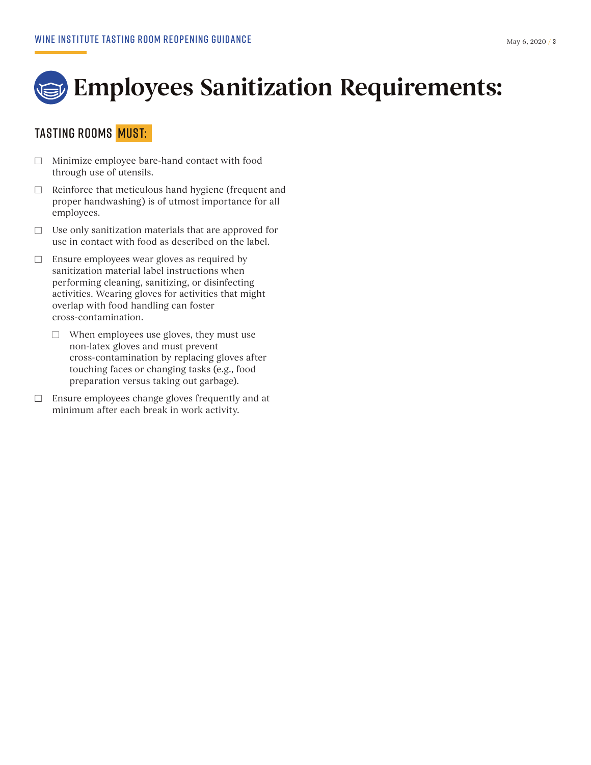

### TASTING ROOMS MUST:

- $\Box$  Minimize employee bare-hand contact with food through use of utensils.
- $\Box$  Reinforce that meticulous hand hygiene (frequent and proper handwashing) is of utmost importance for all employees.
- $\Box$  Use only sanitization materials that are approved for use in contact with food as described on the label.
- $\Box$  Ensure employees wear gloves as required by sanitization material label instructions when performing cleaning, sanitizing, or disinfecting activities. Wearing gloves for activities that might overlap with food handling can foster cross-contamination.
	- $\Box$  When employees use gloves, they must use non-latex gloves and must prevent cross-contamination by replacing gloves after touching faces or changing tasks (e.g., food preparation versus taking out garbage).
- $\Box$  Ensure employees change gloves frequently and at minimum after each break in work activity.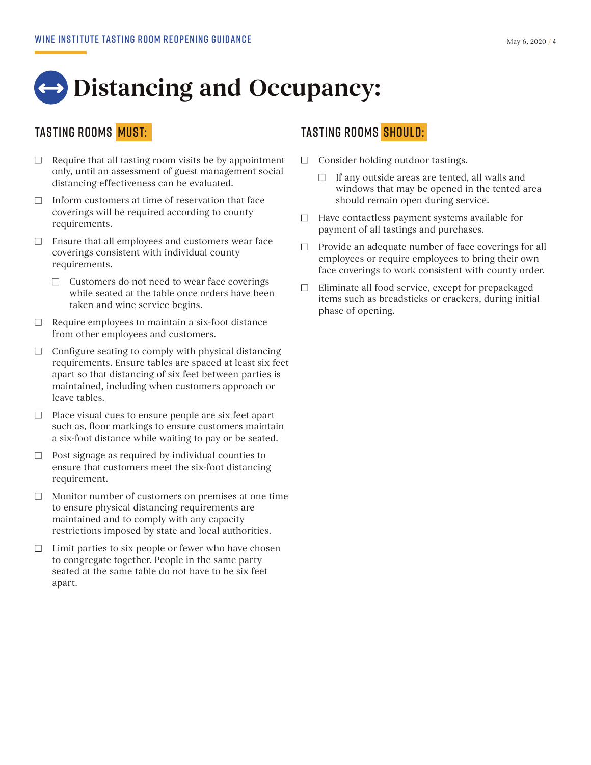## $\leftrightarrow$  **Distancing and Occupancy:**

- $\Box$  Require that all tasting room visits be by appointment only, until an assessment of guest management social distancing effectiveness can be evaluated.
- $\Box$  Inform customers at time of reservation that face coverings will be required according to county requirements.
- $\Box$  Ensure that all employees and customers wear face coverings consistent with individual county requirements.
	- $\Box$  Customers do not need to wear face coverings while seated at the table once orders have been taken and wine service begins.
- $\Box$  Require employees to maintain a six-foot distance from other employees and customers.
- $\Box$  Configure seating to comply with physical distancing requirements. Ensure tables are spaced at least six feet apart so that distancing of six feet between parties is maintained, including when customers approach or leave tables.
- $\Box$  Place visual cues to ensure people are six feet apart such as, floor markings to ensure customers maintain a six-foot distance while waiting to pay or be seated.
- $\Box$  Post signage as required by individual counties to ensure that customers meet the six-foot distancing requirement.
- $\Box$  Monitor number of customers on premises at one time to ensure physical distancing requirements are maintained and to comply with any capacity restrictions imposed by state and local authorities.
- $\Box$  Limit parties to six people or fewer who have chosen to congregate together. People in the same party seated at the same table do not have to be six feet apart.

### TASTING ROOMS MUST: TASTING ROOMS SHOULD:

- $\Box$  Consider holding outdoor tastings.
	- $\Box$  If any outside areas are tented, all walls and windows that may be opened in the tented area should remain open during service.
- $\Box$  Have contactless payment systems available for payment of all tastings and purchases.
- $\Box$  Provide an adequate number of face coverings for all employees or require employees to bring their own face coverings to work consistent with county order.
- $\Box$  Eliminate all food service, except for prepackaged items such as breadsticks or crackers, during initial phase of opening.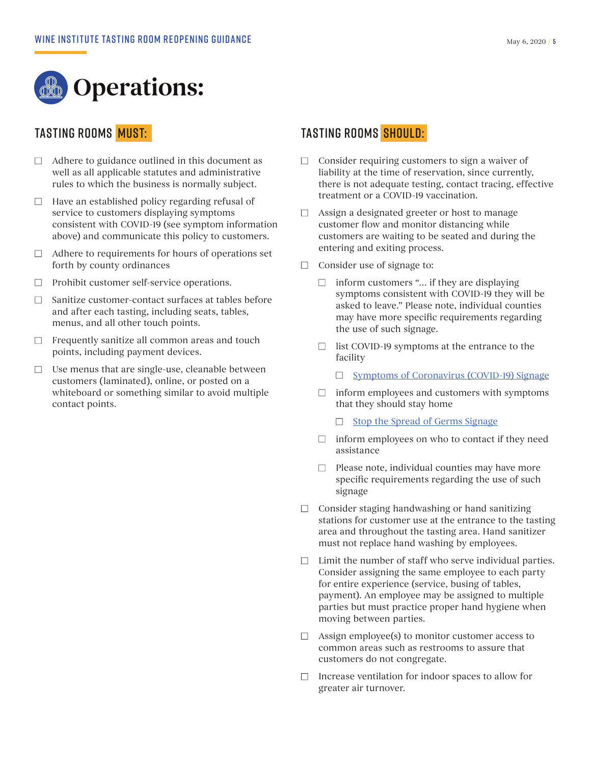

- $\Box$  Adhere to guidance outlined in this document as well as all applicable statutes and administrative rules to which the business is normally subject.
- $\Box$  Have an established policy regarding refusal of service to customers displaying symptoms consistent with COVID-19 (see symptom information above) and communicate this policy to customers.
- $\Box$  Adhere to requirements for hours of operations set forth by county ordinances
- $\Box$  Prohibit customer self-service operations.
- $\Box$  Sanitize customer-contact surfaces at tables before and after each tasting, including seats, tables, menus, and all other touch points.
- $\Box$  Frequently sanitize all common areas and touch points, including payment devices.
- $\Box$  Use menus that are single-use, cleanable between customers (laminated), online, or posted on a whiteboard or something similar to avoid multiple contact points.

### TASTING ROOMS MUST: TASTING ROOMS SHOULD:

- $\Box$  Consider requiring customers to sign a waiver of liability at the time of reservation, since currently, there is not adequate testing, contact tracing, effective treatment or a COVID-19 vaccination.
- $\Box$  Assign a designated greeter or host to manage customer flow and monitor distancing while customers are waiting to be seated and during the entering and exiting process.
- $\Box$  Consider use of signage to:
	- $\Box$  inform customers "... if they are displaying symptoms consistent with COVID-19 they will be asked to leave." Please note, individual counties may have more specific requirements regarding the use of such signage.
	- $\Box$  list COVID-19 symptoms at the entrance to the facility
		- $\Box$  Symptoms of Coronavirus (COVID-19) Signage
	- $\Box$  inform employees and customers with symptoms that they should stay home
		- $\Box$  Stop the Spread of Germs Signage
	- $\Box$  inform employees on who to contact if they need assistance
	- $\Box$  Please note, individual counties may have more specific requirements regarding the use of such signage
- $\Box$  Consider staging handwashing or hand sanitizing stations for customer use at the entrance to the tasting area and throughout the tasting area. Hand sanitizer must not replace hand washing by employees.
- $\Box$  Limit the number of staff who serve individual parties. Consider assigning the same employee to each party for entire experience (service, busing of tables, payment). An employee may be assigned to multiple parties but must practice proper hand hygiene when moving between parties.
- $\Box$  Assign employee(s) to monitor customer access to common areas such as restrooms to assure that customers do not congregate.
- $\Box$  Increase ventilation for indoor spaces to allow for greater air turnover.